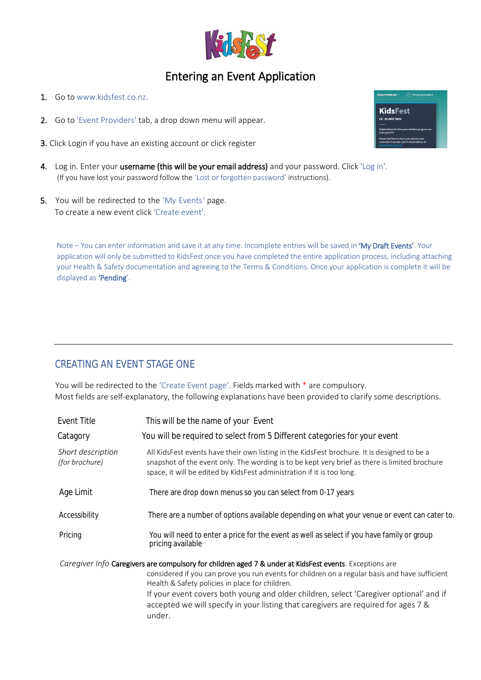

## Entering an Event Application

- 1. Go to [www.kidsfest.co.nz.](http://www.kidsfest.co.nz/)
- 2. Go to 'Event Providers' tab, a drop down menu will appear.
- 3. Click Login if you have an existing account or click register
- 4. Log in. Enter your username (this will be your email address) and your password. Click 'Log in'. (If you have lost your password follow the 'Lost or forgotten password' instructions).
- 5. You will be redirected to the 'My Events*'* page. To create a new event click 'Create event'.

Note – You can enter information and save it at any time. Incomplete entries will be saved in 'My Draft Events'. Your application will only be submitted to KidsFest once you have completed the entire application process, including attaching your Health & Safety documentation and agreeing to the Terms & Conditions. Once your application is complete it will be displayed as 'Pending'.

## CREATING AN EVENT STAGE ONE

You will be redirected to the 'Create Event page'. Fields marked with \* are compulsory. Most fields are self-explanatory, the following explanations have been provided to clarify some descriptions.

| Event Title                         | This will be the name of your Event                                                                                                                                                                                                                                                                                                                                                                                                                    |
|-------------------------------------|--------------------------------------------------------------------------------------------------------------------------------------------------------------------------------------------------------------------------------------------------------------------------------------------------------------------------------------------------------------------------------------------------------------------------------------------------------|
| Catagory                            | You will be required to select from 5 Different categories for your event                                                                                                                                                                                                                                                                                                                                                                              |
| Short description<br>(for brochure) | All KidsFest events have their own listing in the KidsFest brochure. It is designed to be a<br>snapshot of the event only. The wording is to be kept very brief as there is limited brochure<br>space, it will be edited by KidsFest administration if it is too long.                                                                                                                                                                                 |
| Age Limit                           | There are drop down menus so you can select from 0-17 years                                                                                                                                                                                                                                                                                                                                                                                            |
| Accessibility                       | There are a number of options available depending on what your venue or event can cater to.                                                                                                                                                                                                                                                                                                                                                            |
| Pricing                             | You will need to enter a price for the event as well as select if you have family or group<br>pricing available                                                                                                                                                                                                                                                                                                                                        |
|                                     | Caregiver Info Caregivers are compulsory for children aged 7 & under at KidsFest events. Exceptions are<br>considered if you can prove you run events for children on a regular basis and have sufficient<br>Health & Safety policies in place for children.<br>If your event covers both young and older children, select 'Caregiver optional' and if<br>accepted we will specify in your listing that caregivers are required for ages 7 &<br>under. |

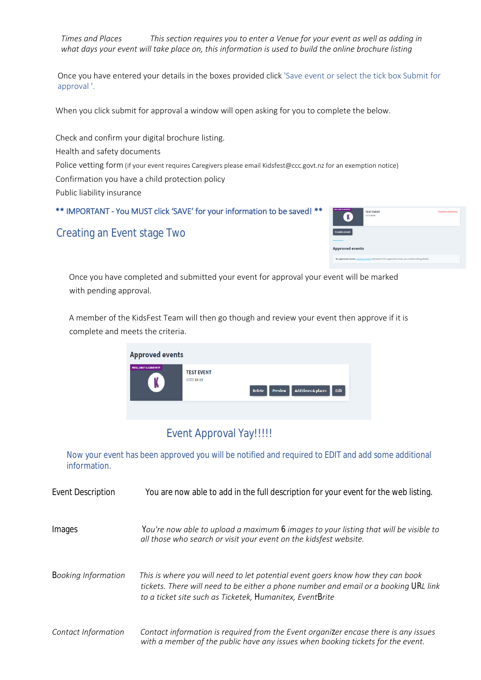*Times and Places This section requires you to enter a Venue for your event as well as adding in what days your event will take place on, this information is used to build the online brochure listing*

Once you have entered your details in the boxes provided click 'Save event or select the tick box Submit for approval '.

When you click submit for approval a window will open asking for you to complete the below.

 Police vetting form (if your event requires Caregivers please email Kidsfest@ccc.govt.nz for an exemption notice) Check and confirm your digital brochure listing. Health and safety documents Confirmation you have a child protection policy Public liability insurance

\*\* IMPORTANT - You MUST click 'SAVE' for your information to be saved! \*\*

| ARES, CRAFT & CREATWITE<br><b>TEST EVENT</b><br><b>AGES 10-12</b>                                     | <b>PENDING APPROVAL</b> |
|-------------------------------------------------------------------------------------------------------|-------------------------|
| <b>Create event</b>                                                                                   |                         |
| <b>Approved events</b>                                                                                |                         |
| No approved events. Create an event and submit it for approval to enter your website listing details. |                         |

Creating an Event stage Two

Once you have completed and submitted your event for approval your event will be marked with pending approval.

A member of the KidsFest Team will then go though and review your event then approve if it is complete and meets the criteria.



## Event Approval Yay!!!!!

Now your event has been approved you will be notified and required to EDIT and add some additional information.

| <b>Event Description</b>   | You are now able to add in the full description for your event for the web listing.                                                                                                                                                 |
|----------------------------|-------------------------------------------------------------------------------------------------------------------------------------------------------------------------------------------------------------------------------------|
| Images                     | You're now able to upload a maximum 6 images to your listing that will be visible to<br>all those who search or visit your event on the kidsfest website.                                                                           |
| <b>Booking Information</b> | This is where you will need to let potential event goers know how they can book<br>tickets. There will need to be either a phone number and email or a booking URL link<br>to a ticket site such as Ticketek, Humanitex, EventBrite |
| Contact Information        | Contact information is required from the Event organizer encase there is any issues<br>with a member of the public have any issues when booking tickets for the event.                                                              |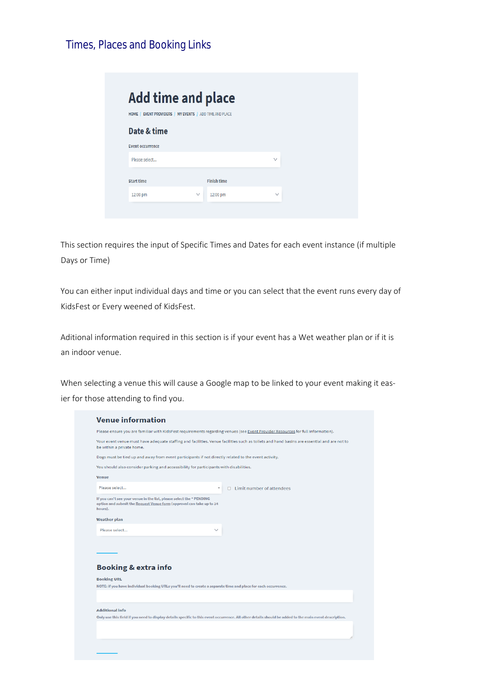## Times, Places and Booking Links

|                         | <b>Add time and place</b>                               |        |
|-------------------------|---------------------------------------------------------|--------|
|                         | HOME   EVENT PROVIDERS   MY EVENTS   ADD TIME AND PLACE |        |
| Date & time             |                                                         |        |
| <b>Event occurrence</b> |                                                         |        |
| Please select           |                                                         | $\vee$ |
| <b>Start time</b>       | <b>Finish time</b>                                      |        |
| 12:00 pm                | 12:00 pm<br>$\vee$                                      | $\vee$ |

This section requires the input of Specific Times and Dates for each event instance (if multiple Days or Time)

You can either input individual days and time or you can select that the event runs every day of KidsFest or Every weened of KidsFest.

Aditional information required in this section is if your event has a Wet weather plan or if it is an indoor venue.

When selecting a venue this will cause a Google map to be linked to your event making it easier for those attending to find you.

|                                                                                                                                                         | Please ensure you are familiar with KidsFest requirements regarding venues (see Event Provider Resources for full information).                        |
|---------------------------------------------------------------------------------------------------------------------------------------------------------|--------------------------------------------------------------------------------------------------------------------------------------------------------|
|                                                                                                                                                         |                                                                                                                                                        |
| be within a private home.                                                                                                                               | Your event venue must have adequate staffing and facilities. Venue facilities such as toilets and hand basins are essential and are not to             |
| Dogs must be tied up and away from event participants if not directly related to the event activity.                                                    |                                                                                                                                                        |
| You should also consider parking and accessibility for participants with disabilities.                                                                  |                                                                                                                                                        |
| <b>Venue</b>                                                                                                                                            |                                                                                                                                                        |
| Please select                                                                                                                                           | $\Box$ Limit number of attendees<br>$\overline{\mathbf{v}}$                                                                                            |
| If you can't see your venue in the list, please select the * PENDING<br>option and submit the Request Venue form (approval can take up to 24<br>hours). |                                                                                                                                                        |
| <b>Weather plan</b>                                                                                                                                     |                                                                                                                                                        |
| Please select                                                                                                                                           |                                                                                                                                                        |
|                                                                                                                                                         |                                                                                                                                                        |
| <b>Booking &amp; extra info</b><br><b>Booking URL</b>                                                                                                   |                                                                                                                                                        |
|                                                                                                                                                         | NOTE: if you have individual booking URLs you'll need to create a separate time and place for each occurrence.                                         |
|                                                                                                                                                         |                                                                                                                                                        |
| <b>Additional info</b>                                                                                                                                  |                                                                                                                                                        |
|                                                                                                                                                         | Only use this field if you need to display details specific to this event occurrence. All other details should be added to the main event description. |
|                                                                                                                                                         |                                                                                                                                                        |